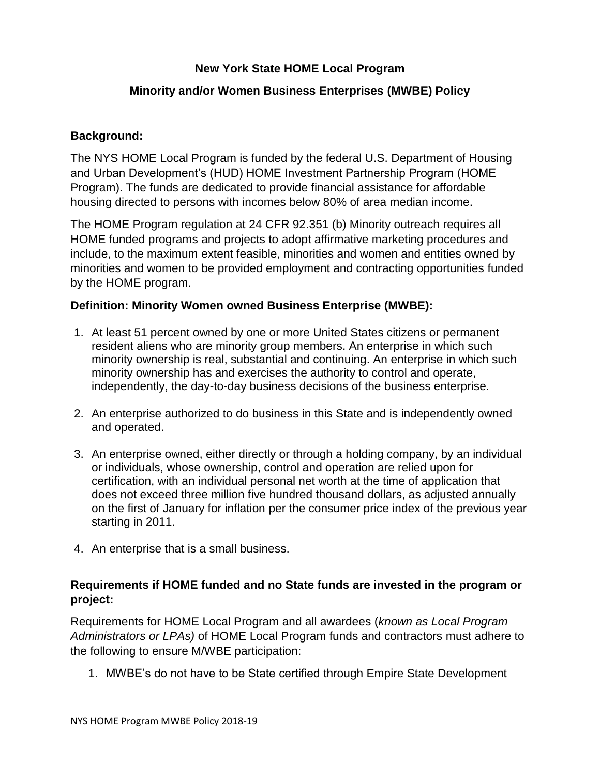## **New York State HOME Local Program**

# **Minority and/or Women Business Enterprises (MWBE) Policy**

## **Background:**

The NYS HOME Local Program is funded by the federal U.S. Department of Housing and Urban Development's (HUD) HOME Investment Partnership Program (HOME Program). The funds are dedicated to provide financial assistance for affordable housing directed to persons with incomes below 80% of area median income.

The HOME Program regulation at 24 CFR 92.351 (b) Minority outreach requires all HOME funded programs and projects to adopt affirmative marketing procedures and include, to the maximum extent feasible, minorities and women and entities owned by minorities and women to be provided employment and contracting opportunities funded by the HOME program.

#### **Definition: Minority Women owned Business Enterprise (MWBE):**

- 1. At least 51 percent owned by one or more United States citizens or permanent resident aliens who are minority group members. An enterprise in which such minority ownership is real, substantial and continuing. An enterprise in which such minority ownership has and exercises the authority to control and operate, independently, the day-to-day business decisions of the business enterprise.
- 2. An enterprise authorized to do business in this State and is independently owned and operated.
- 3. An enterprise owned, either directly or through a holding company, by an individual or individuals, whose ownership, control and operation are relied upon for certification, with an individual personal net worth at the time of application that does not exceed three million five hundred thousand dollars, as adjusted annually on the first of January for inflation per the consumer price index of the previous year starting in 2011.
- 4. An enterprise that is a small business.

## **Requirements if HOME funded and no State funds are invested in the program or project:**

Requirements for HOME Local Program and all awardees (*known as Local Program Administrators or LPAs)* of HOME Local Program funds and contractors must adhere to the following to ensure M/WBE participation:

1. MWBE's do not have to be State certified through Empire State Development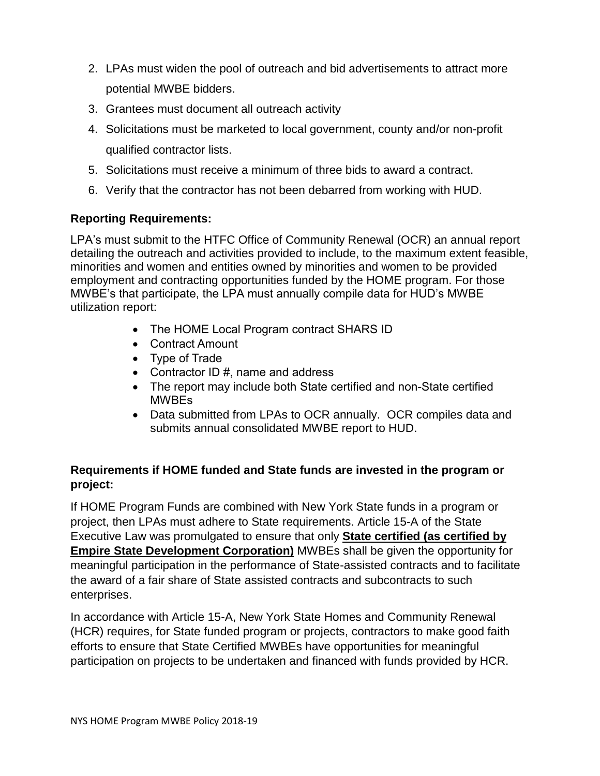- 2. LPAs must widen the pool of outreach and bid advertisements to attract more potential MWBE bidders.
- 3. Grantees must document all outreach activity
- 4. Solicitations must be marketed to local government, county and/or non-profit qualified contractor lists.
- 5. Solicitations must receive a minimum of three bids to award a contract.
- 6. Verify that the contractor has not been debarred from working with HUD.

## **Reporting Requirements:**

LPA's must submit to the HTFC Office of Community Renewal (OCR) an annual report detailing the outreach and activities provided to include, to the maximum extent feasible, minorities and women and entities owned by minorities and women to be provided employment and contracting opportunities funded by the HOME program. For those MWBE's that participate, the LPA must annually compile data for HUD's MWBE utilization report:

- The HOME Local Program contract SHARS ID
- Contract Amount
- Type of Trade
- Contractor ID #, name and address
- The report may include both State certified and non-State certified MWBEs
- Data submitted from LPAs to OCR annually. OCR compiles data and submits annual consolidated MWBE report to HUD.

## **Requirements if HOME funded and State funds are invested in the program or project:**

If HOME Program Funds are combined with New York State funds in a program or project, then LPAs must adhere to State requirements. Article 15-A of the State Executive Law was promulgated to ensure that only **State certified (as certified by Empire State Development Corporation)** MWBEs shall be given the opportunity for meaningful participation in the performance of State-assisted contracts and to facilitate the award of a fair share of State assisted contracts and subcontracts to such enterprises.

In accordance with Article 15-A, New York State Homes and Community Renewal (HCR) requires, for State funded program or projects, contractors to make good faith efforts to ensure that State Certified MWBEs have opportunities for meaningful participation on projects to be undertaken and financed with funds provided by HCR.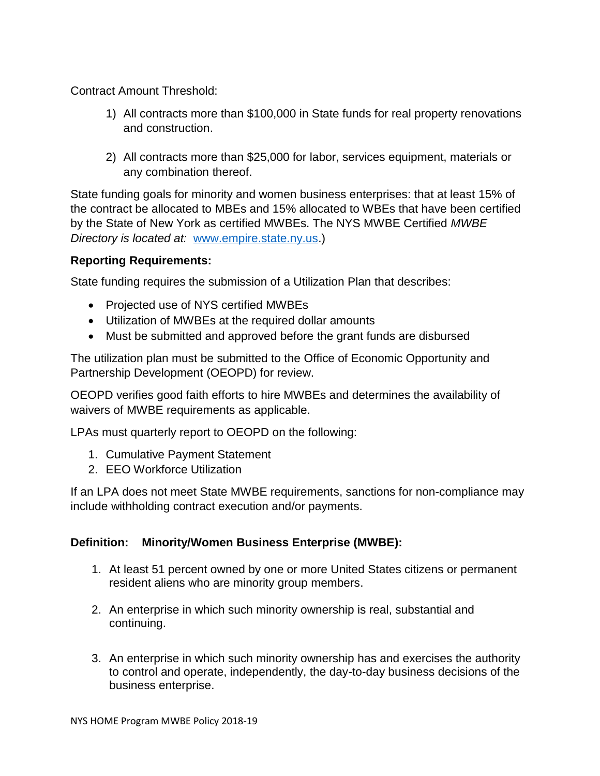Contract Amount Threshold:

- 1) All contracts more than \$100,000 in State funds for real property renovations and construction.
- 2) All contracts more than \$25,000 for labor, services equipment, materials or any combination thereof.

State funding goals for minority and women business enterprises: that at least 15% of the contract be allocated to MBEs and 15% allocated to WBEs that have been certified by the State of New York as certified MWBEs. The NYS MWBE Certified *MWBE Directory is located at:* [www.empire.state.ny.us.](http://www.empire.state.ny.us/))

#### **Reporting Requirements:**

State funding requires the submission of a Utilization Plan that describes:

- Projected use of NYS certified MWBEs
- Utilization of MWBEs at the required dollar amounts
- Must be submitted and approved before the grant funds are disbursed

The utilization plan must be submitted to the Office of Economic Opportunity and Partnership Development (OEOPD) for review.

OEOPD verifies good faith efforts to hire MWBEs and determines the availability of waivers of MWBE requirements as applicable.

LPAs must quarterly report to OEOPD on the following:

- 1. Cumulative Payment Statement
- 2. EEO Workforce Utilization

If an LPA does not meet State MWBE requirements, sanctions for non-compliance may include withholding contract execution and/or payments.

## **Definition: Minority/Women Business Enterprise (MWBE):**

- 1. At least 51 percent owned by one or more United States citizens or permanent resident aliens who are minority group members.
- 2. An enterprise in which such minority ownership is real, substantial and continuing.
- 3. An enterprise in which such minority ownership has and exercises the authority to control and operate, independently, the day-to-day business decisions of the business enterprise.